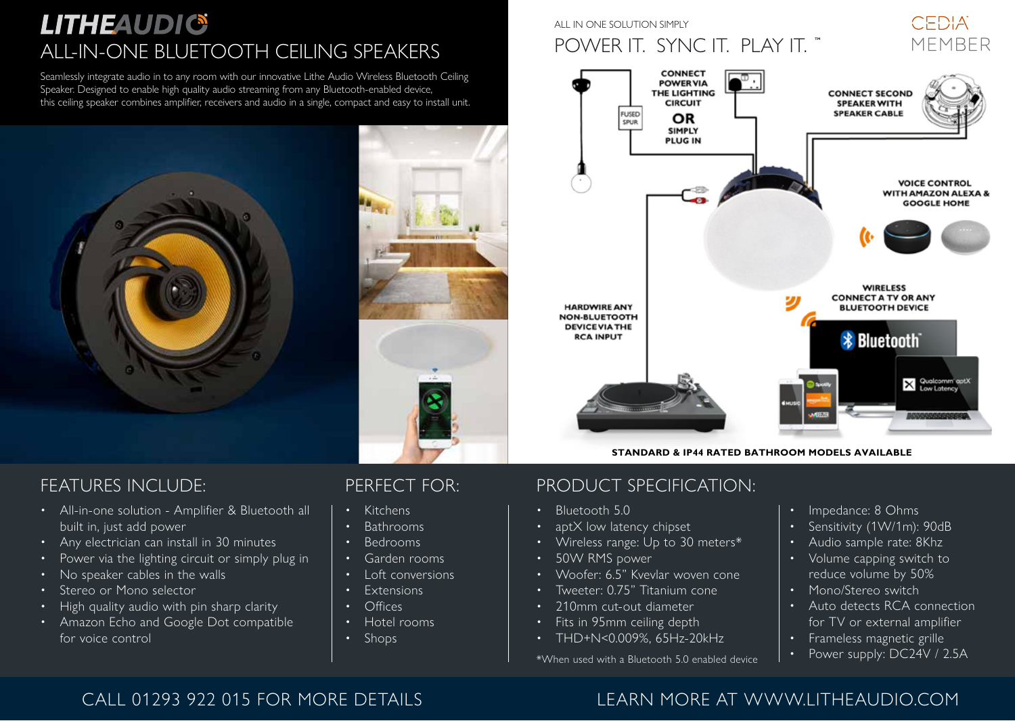## **LITHEAUDIG** ALL-IN-ONE BLUETOOTH CEILING SPEAKERS

Seamlessly integrate audio in to any room with our innovative Lithe Audio Wireless Bluetooth Ceiling Speaker. Designed to enable high quality audio streaming from any Bluetooth-enabled device, this ceiling speaker combines amplifier, receivers and audio in a single, compact and easy to install unit.



#### FEATURES INCLUDE:

- All-in-one solution Amplifier & Bluetooth all built in, just add power
- Any electrician can install in 30 minutes
- Power via the lighting circuit or simply plug in
- No speaker cables in the walls
- Stereo or Mono selector
- High quality audio with pin sharp clarity
- Amazon Echo and Google Dot compatible for voice control

#### PERFECT FOR:

- Kitchens
- Bathrooms
- Bedrooms
- Garden rooms
- Loft conversions
- **Fxtensions**
- Offices
- Hotel rooms
- Shops

#### ALL IN ONE SOLUTION SIMPLY

## POWER IT. SYNC IT. PLAY IT. "

CEDIA MEMRER



**STANDARD & IP44 RATED BATHROOM MODELS AVAILABLE**

#### PRODUCT SPECIFICATION:

- Bluetooth 5.0
- aptX low latency chipset
- Wireless range: Up to 30 meters\*
- 50W RMS power
- Woofer: 6.5" Kvevlar woven cone
- Tweeter: 0.75" Titanium cone
- 210mm cut-out diameter
- Fits in 95mm ceiling depth
- THD+N<0.009%, 65Hz-20kHz

\*When used with a Bluetooth 5.0 enabled device

- Impedance: 8 Ohms
- Sensitivity (1W/1m): 90dB
- Audio sample rate: 8Khz
- Volume capping switch to reduce volume by 50%
- Mono/Stereo switch
- Auto detects RCA connection for TV or external amplifier
- Frameless magnetic grille
- Power supply: DC24V / 2.5A

#### CALL 01293 922 015 FOR MORE DETAILS LEARN MORE AT WWW.LITHEAUDIO.COM